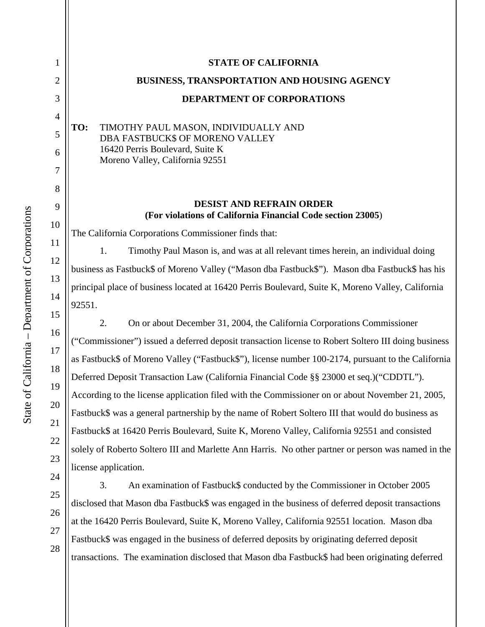| 1              | <b>STATE OF CALIFORNIA</b>                                                                          |
|----------------|-----------------------------------------------------------------------------------------------------|
| $\overline{2}$ | <b>BUSINESS, TRANSPORTATION AND HOUSING AGENCY</b>                                                  |
| 3              | <b>DEPARTMENT OF CORPORATIONS</b>                                                                   |
| $\overline{4}$ |                                                                                                     |
| 5              | TIMOTHY PAUL MASON, INDIVIDUALLY AND<br>TO:<br>DBA FASTBUCK\$ OF MORENO VALLEY                      |
| 6              | 16420 Perris Boulevard, Suite K                                                                     |
| 7              | Moreno Valley, California 92551                                                                     |
| 8              |                                                                                                     |
| 9              | <b>DESIST AND REFRAIN ORDER</b>                                                                     |
| 10             | (For violations of California Financial Code section 23005)                                         |
| 11             | The California Corporations Commissioner finds that:                                                |
| 12             | 1.<br>Timothy Paul Mason is, and was at all relevant times herein, an individual doing              |
|                | business as Fastbuck\$ of Moreno Valley ("Mason dba Fastbuck\$"). Mason dba Fastbuck\$ has his      |
| 13             | principal place of business located at 16420 Perris Boulevard, Suite K, Moreno Valley, California   |
| 14             | 92551.                                                                                              |
| 15             | 2.<br>On or about December 31, 2004, the California Corporations Commissioner                       |
| 16             | ("Commissioner") issued a deferred deposit transaction license to Robert Soltero III doing business |
| 17             | as Fastbuck\$ of Moreno Valley ("Fastbuck\$"), license number 100-2174, pursuant to the California  |
| 18             | Deferred Deposit Transaction Law (California Financial Code §§ 23000 et seq.)("CDDTL").             |
| 19             | According to the license application filed with the Commissioner on or about November 21, 2005,     |
| 20             | Fastbuck\$ was a general partnership by the name of Robert Soltero III that would do business as    |
| 21             | Fastbuck\$ at 16420 Perris Boulevard, Suite K, Moreno Valley, California 92551 and consisted        |
| 22             | solely of Roberto Soltero III and Marlette Ann Harris. No other partner or person was named in the  |
| 23             | license application.                                                                                |

3. An examination of Fastbuck\$ conducted by the Commissioner in October 2005 disclosed that Mason dba Fastbuck\$ was engaged in the business of deferred deposit transactions at the 16420 Perris Boulevard, Suite K, Moreno Valley, California 92551 location. Mason dba Fastbuck\$ was engaged in the business of deferred deposits by originating deferred deposit transactions. The examination disclosed that Mason dba Fastbuck\$ had been originating deferred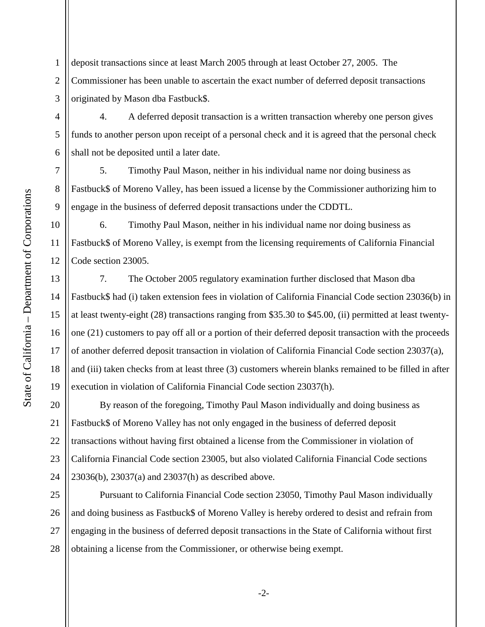2 3 deposit transactions since at least March 2005 through at least October 27, 2005. The Commissioner has been unable to ascertain the exact number of deferred deposit transactions originated by Mason dba Fastbuck\$.

4. A deferred deposit transaction is a written transaction whereby one person gives funds to another person upon receipt of a personal check and it is agreed that the personal check shall not be deposited until a later date.

5. Timothy Paul Mason, neither in his individual name nor doing business as Fastbuck\$ of Moreno Valley, has been issued a license by the Commissioner authorizing him to engage in the business of deferred deposit transactions under the CDDTL.

6. Timothy Paul Mason, neither in his individual name nor doing business as Fastbuck\$ of Moreno Valley, is exempt from the licensing requirements of California Financial Code section 23005.

16 7. The October 2005 regulatory examination further disclosed that Mason dba Fastbuck\$ had (i) taken extension fees in violation of California Financial Code section 23036(b) in at least twenty-eight (28) transactions ranging from \$35.30 to \$45.00, (ii) permitted at least twentyone (21) customers to pay off all or a portion of their deferred deposit transaction with the proceeds of another deferred deposit transaction in violation of California Financial Code section 23037(a), and (iii) taken checks from at least three (3) customers wherein blanks remained to be filled in after execution in violation of California Financial Code section 23037(h).

20 21 22 23 24 By reason of the foregoing, Timothy Paul Mason individually and doing business as Fastbuck\$ of Moreno Valley has not only engaged in the business of deferred deposit transactions without having first obtained a license from the Commissioner in violation of California Financial Code section 23005, but also violated California Financial Code sections 23036(b), 23037(a) and 23037(h) as described above.

25 26 27 28 Pursuant to California Financial Code section 23050, Timothy Paul Mason individually and doing business as Fastbuck\$ of Moreno Valley is hereby ordered to desist and refrain from engaging in the business of deferred deposit transactions in the State of California without first obtaining a license from the Commissioner, or otherwise being exempt.

1

4

5

6

7

8

9

10

11

12

13

14

15

17

18

19